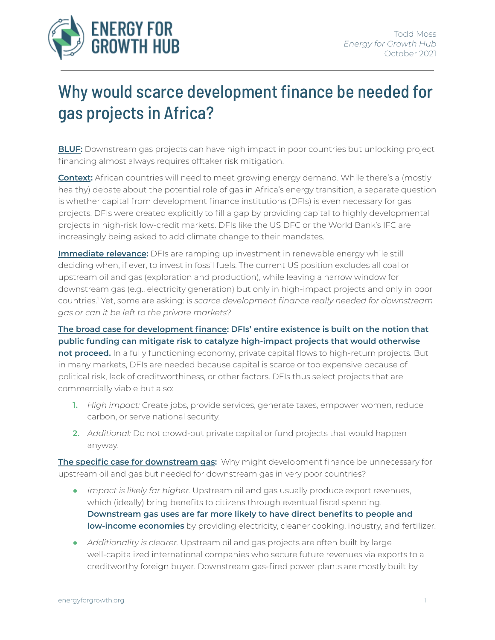

## Why would scarce development finance be needed for gas projects in Africa?

**BLUF:** Downstream gas projects can have high impact in poor countries but unlocking project financing almost always requires offtaker risk mitigation.

**Context:** African countries will need to meet growing energy demand. While there's a (mostly healthy) debate about the potential role of gas in Africa's energy transition, a separate question is whether capital from development finance institutions (DFIs) is even necessary for gas projects. DFIs were created explicitly to fill a gap by providing capital to highly developmental projects in high-risk low-credit markets. DFIs like the US DFC or the World Bank's IFC are increasingly being asked to add climate change to their mandates.

**Immediate relevance:** DFIs are ramping up investment in renewable energy while still deciding when, if ever, to invest in fossil fuels. The current US position excludes all coal or upstream oil and gas (exploration and production), while leaving a narrow window for downstream gas (e.g., electricity generation) but only in high-impact projects and only in poor countries. <sup>1</sup> Yet, some are asking: i*s scarce development finance really needed for downstream gas or can it be left to the private markets?*

**The broad case for development finance: DFIs' entire existence is built on the notion that public funding can mitigate risk to catalyze high-impact projects that would otherwise not proceed.** In a fully functioning economy, private capital flows to high-return projects. But in many markets, DFIs are needed because capital is scarce or too expensive because of political risk, lack of creditworthiness, or other factors. DFIs thus select projects that are commercially viable but also:

- **1.** *High impact:* Create jobs, provide services, generate taxes, empower women, reduce carbon, or serve national security.
- **2.** *Additional:* Do not crowd-out private capital or fund projects that would happen anyway.

**The specific case for downstream gas:** Why might development finance be unnecessary for upstream oil and gas but needed for downstream gas in very poor countries?

- *Impact is likely far higher.* Upstream oil and gas usually produce export revenues, which (ideally) bring benefits to citizens through eventual fiscal spending. **Downstream gas uses are far more likely to have direct benefits to people and low-income economies** by providing electricity, cleaner cooking, industry, and fertilizer.
- *Additionality is clearer.* Upstream oil and gas projects are often built by large well-capitalized international companies who secure future revenues via exports to a creditworthy foreign buyer. Downstream gas-fired power plants are mostly built by